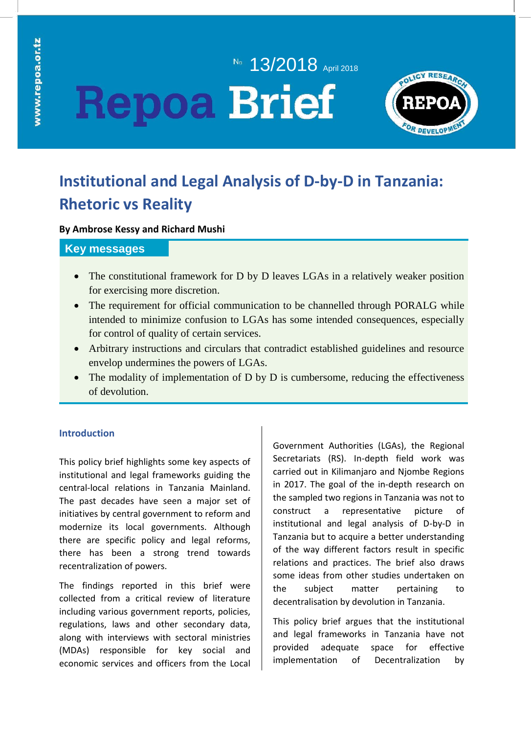# No. **13/2018** April 2018 **Repoa Brief**



# **Institutional and Legal Analysis of D-by-D in Tanzania: Rhetoric vs Reality**

### **By Ambrose Kessy and Richard Mushi**

# **Key messages**

- The constitutional framework for D by D leaves LGAs in a relatively weaker position for exercising more discretion.
- The requirement for official communication to be channelled through PORALG while intended to minimize confusion to LGAs has some intended consequences, especially for control of quality of certain services.
- Arbitrary instructions and circulars that contradict established guidelines and resource envelop undermines the powers of LGAs.
- The modality of implementation of D by D is cumbersome, reducing the effectiveness of devolution.

# **Introduction**

This policy brief highlights some key aspects of institutional and legal frameworks guiding the central-local relations in Tanzania Mainland. The past decades have seen a major set of initiatives by central government to reform and modernize its local governments. Although there are specific policy and legal reforms, there has been a strong trend towards recentralization of powers.

The findings reported in this brief were collected from a critical review of literature including various government reports, policies, regulations, laws and other secondary data, along with interviews with sectoral ministries (MDAs) responsible for key social and economic services and officers from the Local Government Authorities (LGAs), the Regional Secretariats (RS). In-depth field work was carried out in Kilimanjaro and Njombe Regions in 2017. The goal of the in-depth research on the sampled two regions in Tanzania was not to construct a representative picture of institutional and legal analysis of D-by-D in Tanzania but to acquire a better understanding of the way different factors result in specific relations and practices. The brief also draws some ideas from other studies undertaken on the subject matter pertaining to decentralisation by devolution in Tanzania.

This policy brief argues that the institutional and legal frameworks in Tanzania have not provided adequate space for effective implementation of Decentralization by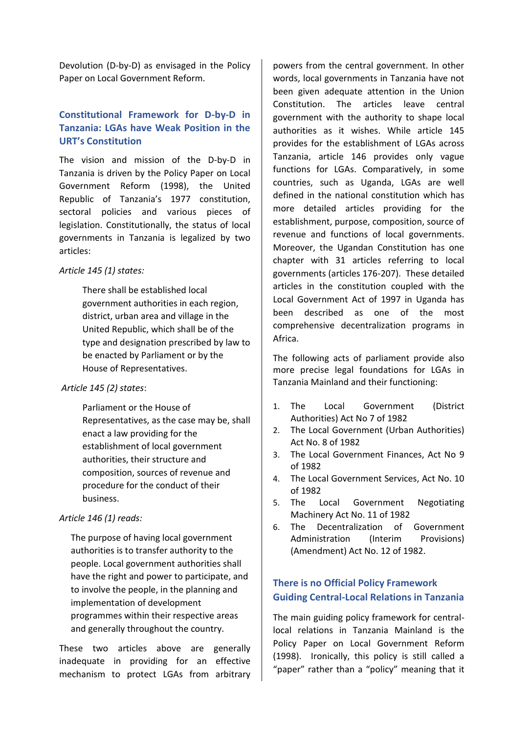Devolution (D-by-D) as envisaged in the Policy Paper on Local Government Reform.

# **Constitutional Framework for D-by-D in Tanzania: LGAs have Weak Position in the URT's Constitution**

The vision and mission of the D-by-D in Tanzania is driven by the Policy Paper on Local Government Reform (1998), the United Republic of Tanzania's 1977 constitution, sectoral policies and various pieces of legislation. Constitutionally, the status of local governments in Tanzania is legalized by two articles:

#### *Article 145 (1) states:*

There shall be established local government authorities in each region, district, urban area and village in the United Republic, which shall be of the type and designation prescribed by law to be enacted by Parliament or by the House of Representatives.

#### *Article 145 (2) states*:

Parliament or the House of Representatives, as the case may be, shall enact a law providing for the establishment of local government authorities, their structure and composition, sources of revenue and procedure for the conduct of their business.

#### *Article 146 (1) reads:*

The purpose of having local government authorities is to transfer authority to the people. Local government authorities shall have the right and power to participate, and to involve the people, in the planning and implementation of development programmes within their respective areas and generally throughout the country.

These two articles above are generally inadequate in providing for an effective mechanism to protect LGAs from arbitrary

powers from the central government. In other words, local governments in Tanzania have not been given adequate attention in the Union Constitution. The articles leave central government with the authority to shape local authorities as it wishes. While article 145 provides for the establishment of LGAs across Tanzania, article 146 provides only vague functions for LGAs. Comparatively, in some countries, such as Uganda, LGAs are well defined in the national constitution which has more detailed articles providing for the establishment, purpose, composition, source of revenue and functions of local governments. Moreover, the Ugandan Constitution has one chapter with 31 articles referring to local governments (articles 176-207). These detailed articles in the constitution coupled with the Local Government Act of 1997 in Uganda has been described as one of the most comprehensive decentralization programs in Africa.

The following acts of parliament provide also more precise legal foundations for LGAs in Tanzania Mainland and their functioning:

- 1. The Local Government (District Authorities) Act No 7 of 1982
- 2. The Local Government (Urban Authorities) Act No. 8 of 1982
- 3. The Local Government Finances, Act No 9 of 1982
- 4. The Local Government Services, Act No. 10 of 1982
- 5. The Local Government Negotiating Machinery Act No. 11 of 1982
- 6. The Decentralization of Government Administration (Interim Provisions) (Amendment) Act No. 12 of 1982.

# **There is no Official Policy Framework Guiding Central-Local Relations in Tanzania**

The main guiding policy framework for centrallocal relations in Tanzania Mainland is the Policy Paper on Local Government Reform (1998). Ironically, this policy is still called a "paper" rather than a "policy" meaning that it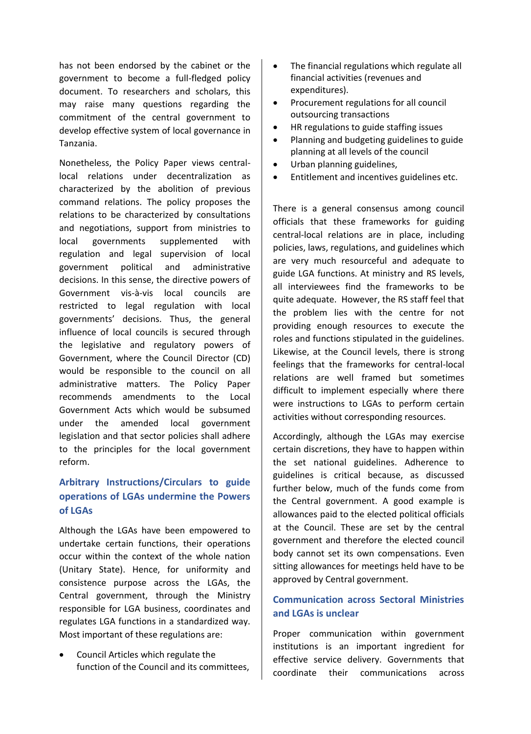has not been endorsed by the cabinet or the government to become a full-fledged policy document. To researchers and scholars, this may raise many questions regarding the commitment of the central government to develop effective system of local governance in Tanzania.

Nonetheless, the Policy Paper views centrallocal relations under decentralization as characterized by the abolition of previous command relations. The policy proposes the relations to be characterized by consultations and negotiations, support from ministries to local governments supplemented with regulation and legal supervision of local government political and administrative decisions. In this sense, the directive powers of Government vis-à-vis local councils are restricted to legal regulation with local governments' decisions. Thus, the general influence of local councils is secured through the legislative and regulatory powers of Government, where the Council Director (CD) would be responsible to the council on all administrative matters. The Policy Paper recommends amendments to the Local Government Acts which would be subsumed under the amended local government legislation and that sector policies shall adhere to the principles for the local government reform.

# **Arbitrary Instructions/Circulars to guide operations of LGAs undermine the Powers of LGAs**

Although the LGAs have been empowered to undertake certain functions, their operations occur within the context of the whole nation (Unitary State). Hence, for uniformity and consistence purpose across the LGAs, the Central government, through the Ministry responsible for LGA business, coordinates and regulates LGA functions in a standardized way. Most important of these regulations are:

• Council Articles which regulate the function of the Council and its committees,

- The financial regulations which regulate all financial activities (revenues and expenditures).
- Procurement regulations for all council outsourcing transactions
- HR regulations to guide staffing issues
- Planning and budgeting guidelines to guide planning at all levels of the council
- Urban planning guidelines,
- Entitlement and incentives guidelines etc.

There is a general consensus among council officials that these frameworks for guiding central-local relations are in place, including policies, laws, regulations, and guidelines which are very much resourceful and adequate to guide LGA functions. At ministry and RS levels, all interviewees find the frameworks to be quite adequate. However, the RS staff feel that the problem lies with the centre for not providing enough resources to execute the roles and functions stipulated in the guidelines. Likewise, at the Council levels, there is strong feelings that the frameworks for central-local relations are well framed but sometimes difficult to implement especially where there were instructions to LGAs to perform certain activities without corresponding resources.

Accordingly, although the LGAs may exercise certain discretions, they have to happen within the set national guidelines. Adherence to guidelines is critical because, as discussed further below, much of the funds come from the Central government. A good example is allowances paid to the elected political officials at the Council. These are set by the central government and therefore the elected council body cannot set its own compensations. Even sitting allowances for meetings held have to be approved by Central government.

# **Communication across Sectoral Ministries and LGAs is unclear**

Proper communication within government institutions is an important ingredient for effective service delivery. Governments that coordinate their communications across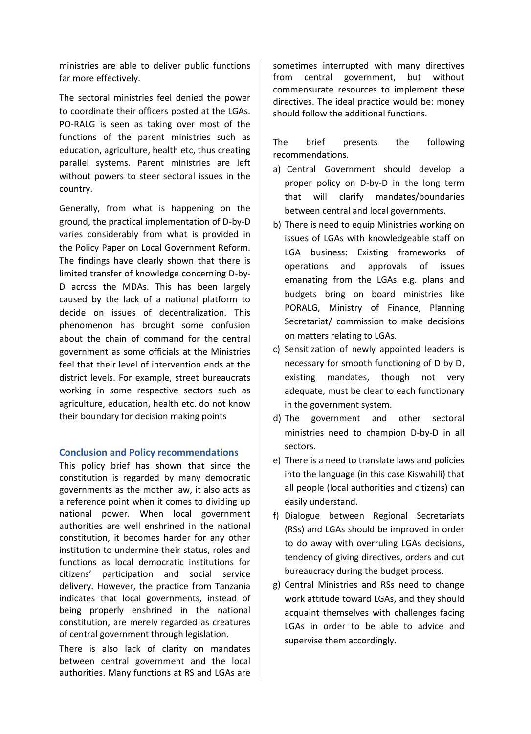ministries are able to deliver public functions far more effectively.

The sectoral ministries feel denied the power to coordinate their officers posted at the LGAs. PO-RALG is seen as taking over most of the functions of the parent ministries such as education, agriculture, health etc, thus creating parallel systems. Parent ministries are left without powers to steer sectoral issues in the country.

Generally, from what is happening on the ground, the practical implementation of D-by-D varies considerably from what is provided in the Policy Paper on Local Government Reform. The findings have clearly shown that there is limited transfer of knowledge concerning D-by-D across the MDAs. This has been largely caused by the lack of a national platform to decide on issues of decentralization. This phenomenon has brought some confusion about the chain of command for the central government as some officials at the Ministries feel that their level of intervention ends at the district levels. For example, street bureaucrats working in some respective sectors such as agriculture, education, health etc. do not know their boundary for decision making points

#### **Conclusion and Policy recommendations**

This policy brief has shown that since the constitution is regarded by many democratic governments as the mother law, it also acts as a reference point when it comes to dividing up national power. When local government authorities are well enshrined in the national constitution, it becomes harder for any other institution to undermine their status, roles and functions as local democratic institutions for citizens' participation and social service delivery. However, the practice from Tanzania indicates that local governments, instead of being properly enshrined in the national constitution, are merely regarded as creatures of central government through legislation.

There is also lack of clarity on mandates between central government and the local authorities. Many functions at RS and LGAs are

sometimes interrupted with many directives from central government, but without commensurate resources to implement these directives. The ideal practice would be: money should follow the additional functions.

The brief presents the following recommendations.

- a) Central Government should develop a proper policy on D-by-D in the long term that will clarify mandates/boundaries between central and local governments.
- b) There is need to equip Ministries working on issues of LGAs with knowledgeable staff on LGA business: Existing frameworks of operations and approvals of issues emanating from the LGAs e.g. plans and budgets bring on board ministries like PORALG, Ministry of Finance, Planning Secretariat/ commission to make decisions on matters relating to LGAs.
- c) Sensitization of newly appointed leaders is necessary for smooth functioning of D by D, existing mandates, though not very adequate, must be clear to each functionary in the government system.
- d) The government and other sectoral ministries need to champion D-by-D in all sectors.
- e) There is a need to translate laws and policies into the language (in this case Kiswahili) that all people (local authorities and citizens) can easily understand.
- f) Dialogue between Regional Secretariats (RSs) and LGAs should be improved in order to do away with overruling LGAs decisions, tendency of giving directives, orders and cut bureaucracy during the budget process.
- g) Central Ministries and RSs need to change work attitude toward LGAs, and they should acquaint themselves with challenges facing LGAs in order to be able to advice and supervise them accordingly.